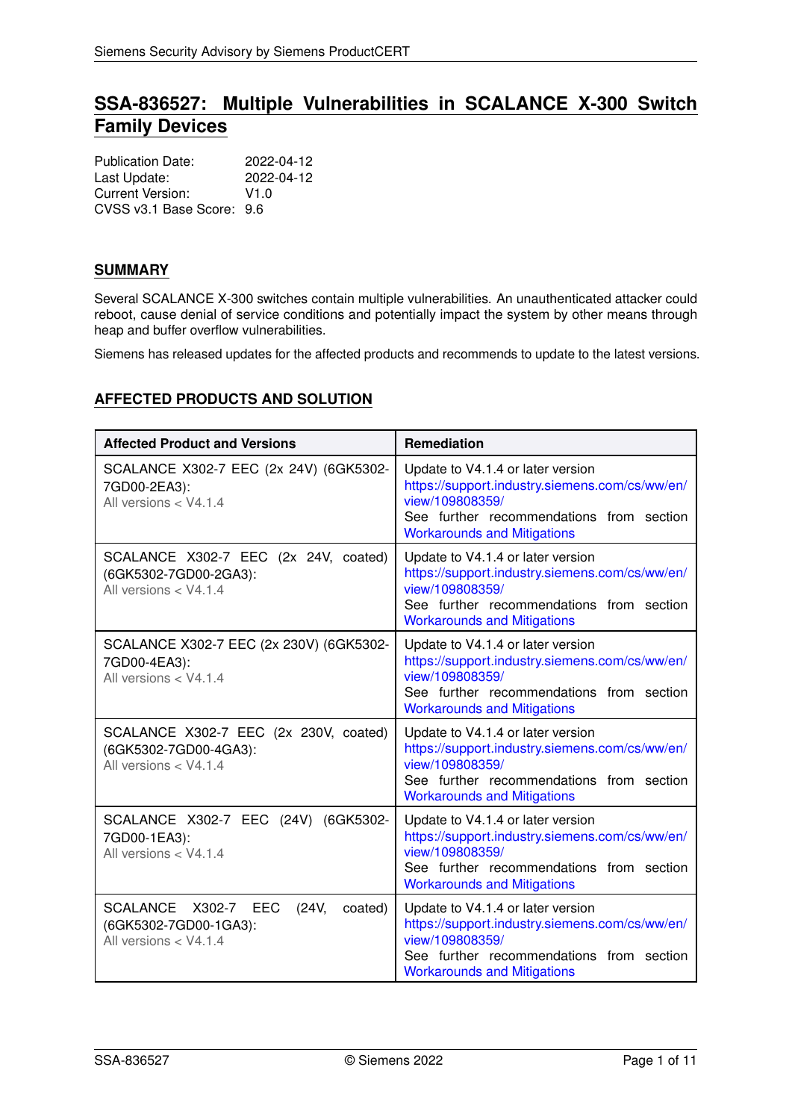# **SSA-836527: Multiple Vulnerabilities in SCALANCE X-300 Switch Family Devices**

| <b>Publication Date:</b>  | 2022-04-12 |
|---------------------------|------------|
| Last Update:              | 2022-04-12 |
| Current Version:          | V1.0       |
| CVSS v3.1 Base Score: 9.6 |            |

# **SUMMARY**

Several SCALANCE X-300 switches contain multiple vulnerabilities. An unauthenticated attacker could reboot, cause denial of service conditions and potentially impact the system by other means through heap and buffer overflow vulnerabilities.

<span id="page-0-0"></span>Siemens has released updates for the affected products and recommends to update to the latest versions.

# **AFFECTED PRODUCTS AND SOLUTION**

| <b>Affected Product and Versions</b>                                                      | Remediation                                                                                                                                                                              |
|-------------------------------------------------------------------------------------------|------------------------------------------------------------------------------------------------------------------------------------------------------------------------------------------|
| SCALANCE X302-7 EEC (2x 24V) (6GK5302-<br>7GD00-2EA3):<br>All versions < V4.1.4           | Update to V4.1.4 or later version<br>https://support.industry.siemens.com/cs/ww/en/<br>view/109808359/<br>See further recommendations from section<br><b>Workarounds and Mitigations</b> |
| SCALANCE X302-7 EEC (2x 24V, coated)<br>(6GK5302-7GD00-2GA3):<br>All versions $<$ V4.1.4  | Update to V4.1.4 or later version<br>https://support.industry.siemens.com/cs/ww/en/<br>view/109808359/<br>See further recommendations from section<br><b>Workarounds and Mitigations</b> |
| SCALANCE X302-7 EEC (2x 230V) (6GK5302-<br>7GD00-4EA3):<br>All versions < V4.1.4          | Update to V4.1.4 or later version<br>https://support.industry.siemens.com/cs/ww/en/<br>view/109808359/<br>See further recommendations from section<br><b>Workarounds and Mitigations</b> |
| SCALANCE X302-7 EEC (2x 230V, coated)<br>(6GK5302-7GD00-4GA3):<br>All versions $<$ V4.1.4 | Update to V4.1.4 or later version<br>https://support.industry.siemens.com/cs/ww/en/<br>view/109808359/<br>See further recommendations from section<br><b>Workarounds and Mitigations</b> |
| SCALANCE X302-7 EEC (24V) (6GK5302-<br>7GD00-1EA3):<br>All versions $<$ V4.1.4            | Update to V4.1.4 or later version<br>https://support.industry.siemens.com/cs/ww/en/<br>view/109808359/<br>See further recommendations from section<br><b>Workarounds and Mitigations</b> |
| SCALANCE X302-7 EEC<br>(24V,<br>coated)<br>(6GK5302-7GD00-1GA3):<br>All versions < V4.1.4 | Update to V4.1.4 or later version<br>https://support.industry.siemens.com/cs/ww/en/<br>view/109808359/<br>See further recommendations from section<br><b>Workarounds and Mitigations</b> |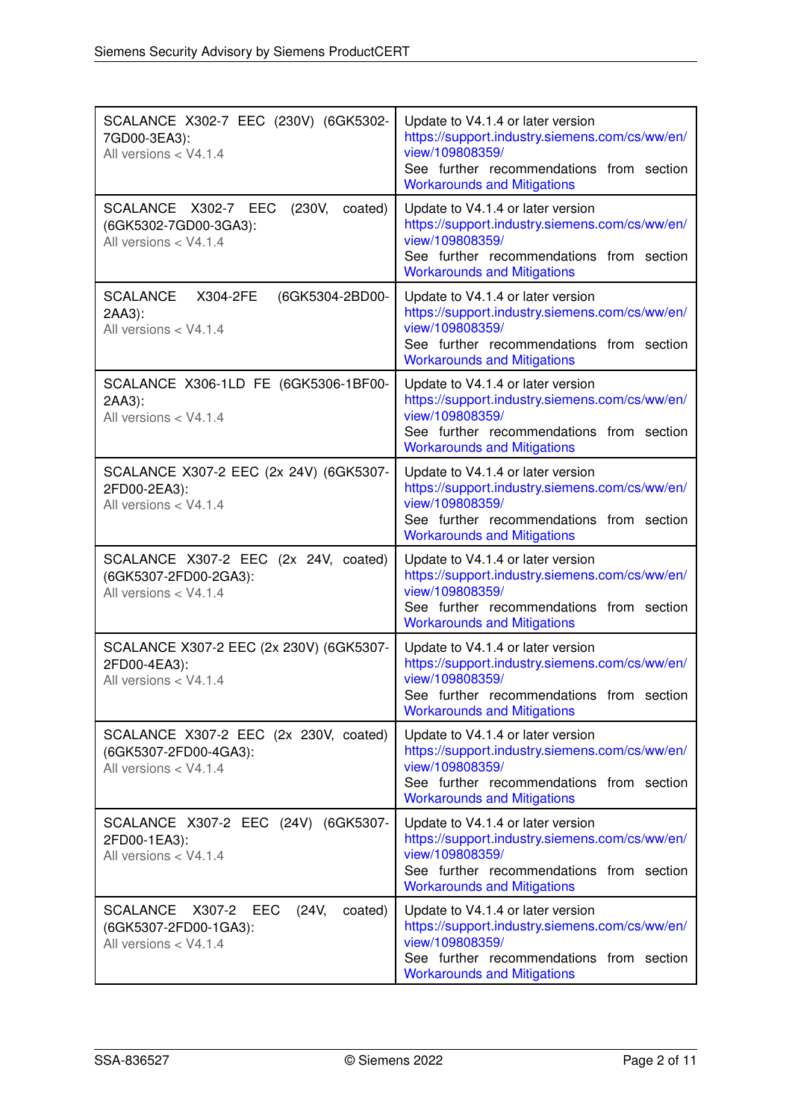| SCALANCE X302-7 EEC (230V) (6GK5302-<br>7GD00-3EA3):<br>All versions < V4.1.4                            | Update to V4.1.4 or later version<br>https://support.industry.siemens.com/cs/ww/en/<br>view/109808359/<br>See further recommendations from section<br><b>Workarounds and Mitigations</b> |
|----------------------------------------------------------------------------------------------------------|------------------------------------------------------------------------------------------------------------------------------------------------------------------------------------------|
| SCALANCE X302-7 EEC<br>(230V,<br>coated)<br>(6GK5302-7GD00-3GA3):<br>All versions < V4.1.4               | Update to V4.1.4 or later version<br>https://support.industry.siemens.com/cs/ww/en/<br>view/109808359/<br>See further recommendations from section<br><b>Workarounds and Mitigations</b> |
| <b>SCALANCE</b><br>X304-2FE<br>(6GK5304-2BD00-<br>2AA3):<br>All versions < V4.1.4                        | Update to V4.1.4 or later version<br>https://support.industry.siemens.com/cs/ww/en/<br>view/109808359/<br>See further recommendations from section<br><b>Workarounds and Mitigations</b> |
| SCALANCE X306-1LD FE (6GK5306-1BF00-<br>2AA3):<br>All versions < V4.1.4                                  | Update to V4.1.4 or later version<br>https://support.industry.siemens.com/cs/ww/en/<br>view/109808359/<br>See further recommendations from section<br><b>Workarounds and Mitigations</b> |
| SCALANCE X307-2 EEC (2x 24V) (6GK5307-<br>2FD00-2EA3):<br>All versions < V4.1.4                          | Update to V4.1.4 or later version<br>https://support.industry.siemens.com/cs/ww/en/<br>view/109808359/<br>See further recommendations from section<br><b>Workarounds and Mitigations</b> |
| SCALANCE X307-2 EEC (2x 24V, coated)<br>(6GK5307-2FD00-2GA3):<br>All versions < V4.1.4                   | Update to V4.1.4 or later version<br>https://support.industry.siemens.com/cs/ww/en/<br>view/109808359/<br>See further recommendations from section<br><b>Workarounds and Mitigations</b> |
| SCALANCE X307-2 EEC (2x 230V) (6GK5307-<br>2FD00-4EA3):<br>All versions < V4.1.4                         | Update to V4.1.4 or later version<br>https://support.industry.siemens.com/cs/ww/en/<br>view/109808359/<br>See further recommendations from section<br><b>Workarounds and Mitigations</b> |
| SCALANCE X307-2 EEC (2x 230V, coated)<br>(6GK5307-2FD00-4GA3):<br>All versions < V4.1.4                  | Update to V4.1.4 or later version<br>https://support.industry.siemens.com/cs/ww/en/<br>view/109808359/<br>See further recommendations from section<br><b>Workarounds and Mitigations</b> |
| SCALANCE X307-2 EEC (24V) (6GK5307-<br>2FD00-1EA3):<br>All versions < V4.1.4                             | Update to V4.1.4 or later version<br>https://support.industry.siemens.com/cs/ww/en/<br>view/109808359/<br>See further recommendations from section<br><b>Workarounds and Mitigations</b> |
| <b>SCALANCE</b><br>X307-2<br>(24V,<br>EEC<br>coated)<br>(6GK5307-2FD00-1GA3):<br>All versions $<$ V4.1.4 | Update to V4.1.4 or later version<br>https://support.industry.siemens.com/cs/ww/en/<br>view/109808359/<br>See further recommendations from section<br><b>Workarounds and Mitigations</b> |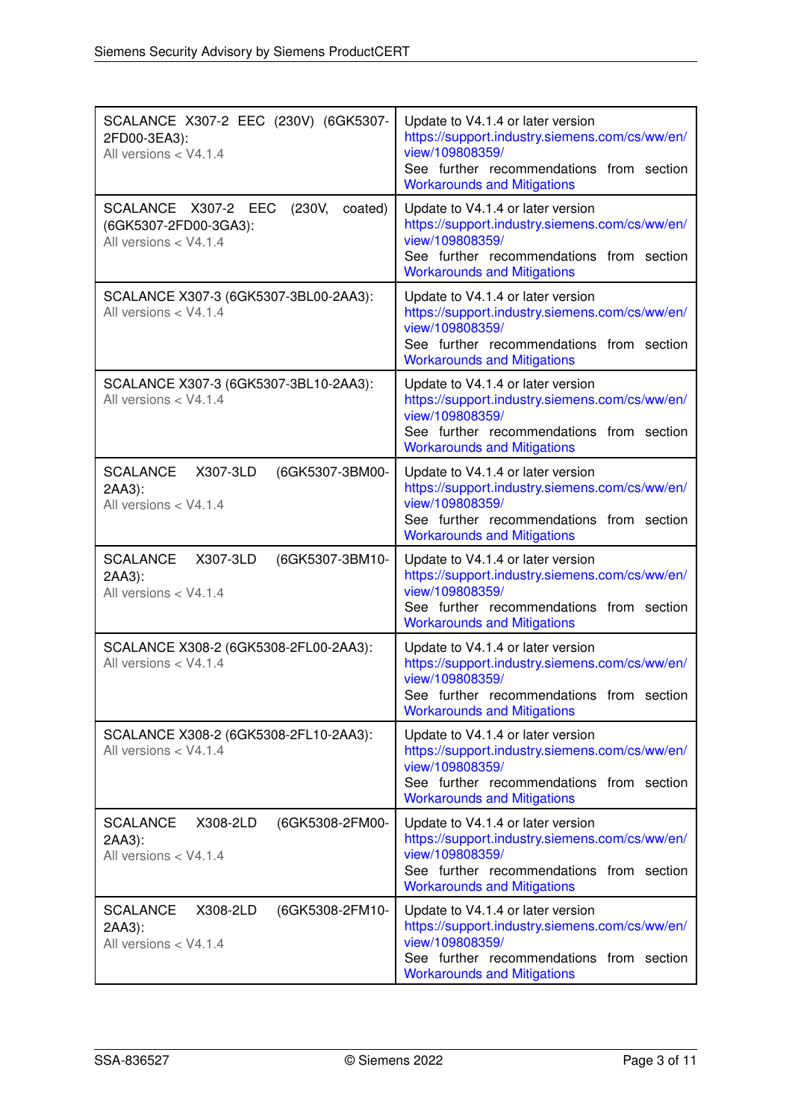| SCALANCE X307-2 EEC (230V) (6GK5307-<br>2FD00-3EA3):<br>All versions < V4.1.4 | Update to V4.1.4 or later version<br>https://support.industry.siemens.com/cs/ww/en/<br>view/109808359/<br>See further recommendations from section<br><b>Workarounds and Mitigations</b> |
|-------------------------------------------------------------------------------|------------------------------------------------------------------------------------------------------------------------------------------------------------------------------------------|
| SCALANCE X307-2 EEC                                                           | Update to V4.1.4 or later version                                                                                                                                                        |
| (230V,                                                                        | https://support.industry.siemens.com/cs/ww/en/                                                                                                                                           |
| coated)                                                                       | view/109808359/                                                                                                                                                                          |
| (6GK5307-2FD00-3GA3):                                                         | See further recommendations from section                                                                                                                                                 |
| All versions < V4.1.4                                                         | <b>Workarounds and Mitigations</b>                                                                                                                                                       |
| SCALANCE X307-3 (6GK5307-3BL00-2AA3):<br>All versions $<$ V4.1.4              | Update to V4.1.4 or later version<br>https://support.industry.siemens.com/cs/ww/en/<br>view/109808359/<br>See further recommendations from section<br><b>Workarounds and Mitigations</b> |
| SCALANCE X307-3 (6GK5307-3BL10-2AA3):<br>All versions < V4.1.4                | Update to V4.1.4 or later version<br>https://support.industry.siemens.com/cs/ww/en/<br>view/109808359/<br>See further recommendations from section<br><b>Workarounds and Mitigations</b> |
| X307-3LD                                                                      | Update to V4.1.4 or later version                                                                                                                                                        |
| <b>SCALANCE</b>                                                               | https://support.industry.siemens.com/cs/ww/en/                                                                                                                                           |
| (6GK5307-3BM00-                                                               | view/109808359/                                                                                                                                                                          |
| 2AA3):                                                                        | See further recommendations from section                                                                                                                                                 |
| All versions < V4.1.4                                                         | <b>Workarounds and Mitigations</b>                                                                                                                                                       |
| <b>SCALANCE</b>                                                               | Update to V4.1.4 or later version                                                                                                                                                        |
| X307-3LD                                                                      | https://support.industry.siemens.com/cs/ww/en/                                                                                                                                           |
| (6GK5307-3BM10-                                                               | view/109808359/                                                                                                                                                                          |
| 2AA3):                                                                        | See further recommendations from section                                                                                                                                                 |
| All versions < V4.1.4                                                         | <b>Workarounds and Mitigations</b>                                                                                                                                                       |
| SCALANCE X308-2 (6GK5308-2FL00-2AA3):<br>All versions < V4.1.4                | Update to V4.1.4 or later version<br>https://support.industry.siemens.com/cs/ww/en/<br>view/109808359/<br>See further recommendations from section<br><b>Workarounds and Mitigations</b> |
| SCALANCE X308-2 (6GK5308-2FL10-2AA3):<br>All versions $<$ V4.1.4              | Update to V4.1.4 or later version<br>https://support.industry.siemens.com/cs/ww/en/<br>view/109808359/<br>See further recommendations from section<br><b>Workarounds and Mitigations</b> |
| <b>SCALANCE</b>                                                               | Update to V4.1.4 or later version                                                                                                                                                        |
| X308-2LD                                                                      | https://support.industry.siemens.com/cs/ww/en/                                                                                                                                           |
| (6GK5308-2FM00-                                                               | view/109808359/                                                                                                                                                                          |
| 2AA3):                                                                        | See further recommendations from section                                                                                                                                                 |
| All versions < V4.1.4                                                         | <b>Workarounds and Mitigations</b>                                                                                                                                                       |
| <b>SCALANCE</b>                                                               | Update to V4.1.4 or later version                                                                                                                                                        |
| X308-2LD                                                                      | https://support.industry.siemens.com/cs/ww/en/                                                                                                                                           |
| (6GK5308-2FM10-                                                               | view/109808359/                                                                                                                                                                          |
| 2AA3):                                                                        | See further recommendations from section                                                                                                                                                 |
| All versions < V4.1.4                                                         | <b>Workarounds and Mitigations</b>                                                                                                                                                       |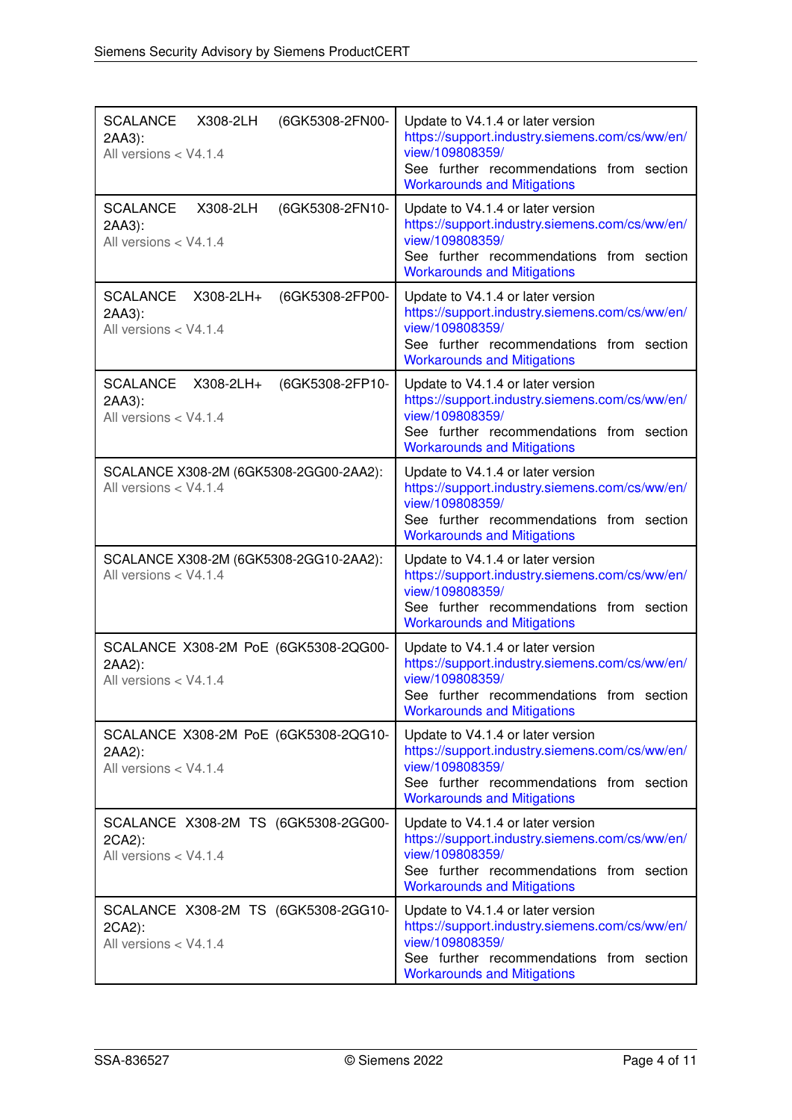| <b>SCALANCE</b><br>(6GK5308-2FN00-<br>X308-2LH<br>2AA3):<br>All versions < V4.1.4  | Update to V4.1.4 or later version<br>https://support.industry.siemens.com/cs/ww/en/<br>view/109808359/<br>See further recommendations from section<br><b>Workarounds and Mitigations</b> |
|------------------------------------------------------------------------------------|------------------------------------------------------------------------------------------------------------------------------------------------------------------------------------------|
| <b>SCALANCE</b><br>X308-2LH<br>(6GK5308-2FN10-<br>2AA3):<br>All versions < V4.1.4  | Update to V4.1.4 or later version<br>https://support.industry.siemens.com/cs/ww/en/<br>view/109808359/<br>See further recommendations from section<br><b>Workarounds and Mitigations</b> |
| <b>SCALANCE</b><br>X308-2LH+<br>(6GK5308-2FP00-<br>2AA3):<br>All versions < V4.1.4 | Update to V4.1.4 or later version<br>https://support.industry.siemens.com/cs/ww/en/<br>view/109808359/<br>See further recommendations from section<br><b>Workarounds and Mitigations</b> |
| <b>SCALANCE</b><br>X308-2LH+<br>(6GK5308-2FP10-<br>2AA3):<br>All versions < V4.1.4 | Update to V4.1.4 or later version<br>https://support.industry.siemens.com/cs/ww/en/<br>view/109808359/<br>See further recommendations from section<br><b>Workarounds and Mitigations</b> |
| SCALANCE X308-2M (6GK5308-2GG00-2AA2):<br>All versions < V4.1.4                    | Update to V4.1.4 or later version<br>https://support.industry.siemens.com/cs/ww/en/<br>view/109808359/<br>See further recommendations from section<br><b>Workarounds and Mitigations</b> |
| SCALANCE X308-2M (6GK5308-2GG10-2AA2):<br>All versions < V4.1.4                    | Update to V4.1.4 or later version<br>https://support.industry.siemens.com/cs/ww/en/<br>view/109808359/<br>See further recommendations from section<br><b>Workarounds and Mitigations</b> |
| SCALANCE X308-2M PoE (6GK5308-2QG00-<br>2AA2):<br>All versions < V4.1.4            | Update to V4.1.4 or later version<br>https://support.industry.siemens.com/cs/ww/en/<br>view/109808359/<br>See further recommendations from section<br><b>Workarounds and Mitigations</b> |
| SCALANCE X308-2M PoE (6GK5308-2QG10-<br>2AA2):<br>All versions < V4.1.4            | Update to V4.1.4 or later version<br>https://support.industry.siemens.com/cs/ww/en/<br>view/109808359/<br>See further recommendations from section<br><b>Workarounds and Mitigations</b> |
| SCALANCE X308-2M TS (6GK5308-2GG00-<br>2CA2):<br>All versions < V4.1.4             | Update to V4.1.4 or later version<br>https://support.industry.siemens.com/cs/ww/en/<br>view/109808359/<br>See further recommendations from section<br><b>Workarounds and Mitigations</b> |
| SCALANCE X308-2M TS (6GK5308-2GG10-<br>2CA2):<br>All versions < V4.1.4             | Update to V4.1.4 or later version<br>https://support.industry.siemens.com/cs/ww/en/<br>view/109808359/<br>See further recommendations from section<br><b>Workarounds and Mitigations</b> |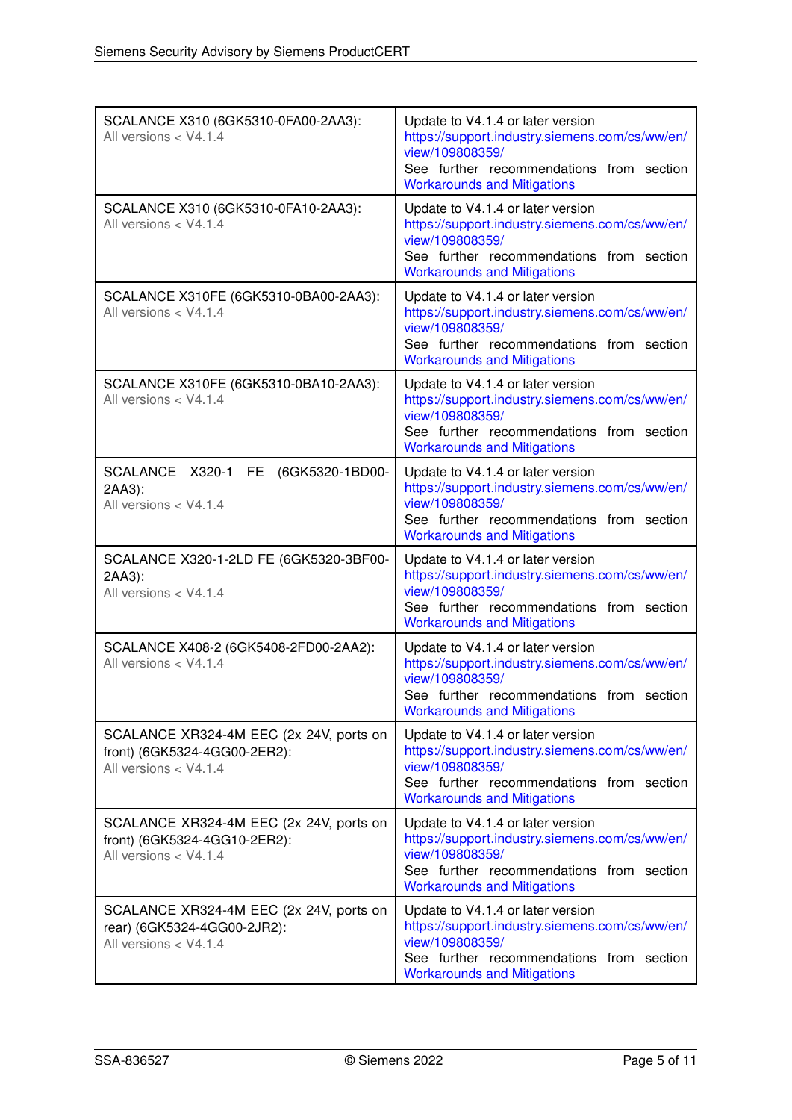| SCALANCE X310 (6GK5310-0FA00-2AA3):<br>All versions < V4.1.4                                     | Update to V4.1.4 or later version<br>https://support.industry.siemens.com/cs/ww/en/<br>view/109808359/<br>See further recommendations from section                                                                             |
|--------------------------------------------------------------------------------------------------|--------------------------------------------------------------------------------------------------------------------------------------------------------------------------------------------------------------------------------|
| SCALANCE X310 (6GK5310-0FA10-2AA3):<br>All versions < V4.1.4                                     | <b>Workarounds and Mitigations</b><br>Update to V4.1.4 or later version<br>https://support.industry.siemens.com/cs/ww/en/<br>view/109808359/<br>See further recommendations from section                                       |
| SCALANCE X310FE (6GK5310-0BA00-2AA3):<br>All versions < V4.1.4                                   | <b>Workarounds and Mitigations</b><br>Update to V4.1.4 or later version<br>https://support.industry.siemens.com/cs/ww/en/<br>view/109808359/<br>See further recommendations from section<br><b>Workarounds and Mitigations</b> |
| SCALANCE X310FE (6GK5310-0BA10-2AA3):<br>All versions < V4.1.4                                   | Update to V4.1.4 or later version<br>https://support.industry.siemens.com/cs/ww/en/<br>view/109808359/<br>See further recommendations from section<br><b>Workarounds and Mitigations</b>                                       |
| SCALANCE X320-1 FE<br>(6GK5320-1BD00-<br>2AA3):<br>All versions < V4.1.4                         | Update to V4.1.4 or later version<br>https://support.industry.siemens.com/cs/ww/en/<br>view/109808359/<br>See further recommendations from section<br><b>Workarounds and Mitigations</b>                                       |
| SCALANCE X320-1-2LD FE (6GK5320-3BF00-<br>2AA3):<br>All versions < V4.1.4                        | Update to V4.1.4 or later version<br>https://support.industry.siemens.com/cs/ww/en/<br>view/109808359/<br>See further recommendations from section<br><b>Workarounds and Mitigations</b>                                       |
| SCALANCE X408-2 (6GK5408-2FD00-2AA2):<br>All versions < V4.1.4                                   | Update to V4.1.4 or later version<br>https://support.industry.siemens.com/cs/ww/en/<br>view/109808359/<br>See further recommendations from section<br><b>Workarounds and Mitigations</b>                                       |
| SCALANCE XR324-4M EEC (2x 24V, ports on<br>front) (6GK5324-4GG00-2ER2):<br>All versions < V4.1.4 | Update to V4.1.4 or later version<br>https://support.industry.siemens.com/cs/ww/en/<br>view/109808359/<br>See further recommendations from section<br><b>Workarounds and Mitigations</b>                                       |
| SCALANCE XR324-4M EEC (2x 24V, ports on<br>front) (6GK5324-4GG10-2ER2):<br>All versions < V4.1.4 | Update to V4.1.4 or later version<br>https://support.industry.siemens.com/cs/ww/en/<br>view/109808359/<br>See further recommendations from section<br><b>Workarounds and Mitigations</b>                                       |
| SCALANCE XR324-4M EEC (2x 24V, ports on<br>rear) (6GK5324-4GG00-2JR2):<br>All versions < V4.1.4  | Update to V4.1.4 or later version<br>https://support.industry.siemens.com/cs/ww/en/<br>view/109808359/<br>See further recommendations from section<br><b>Workarounds and Mitigations</b>                                       |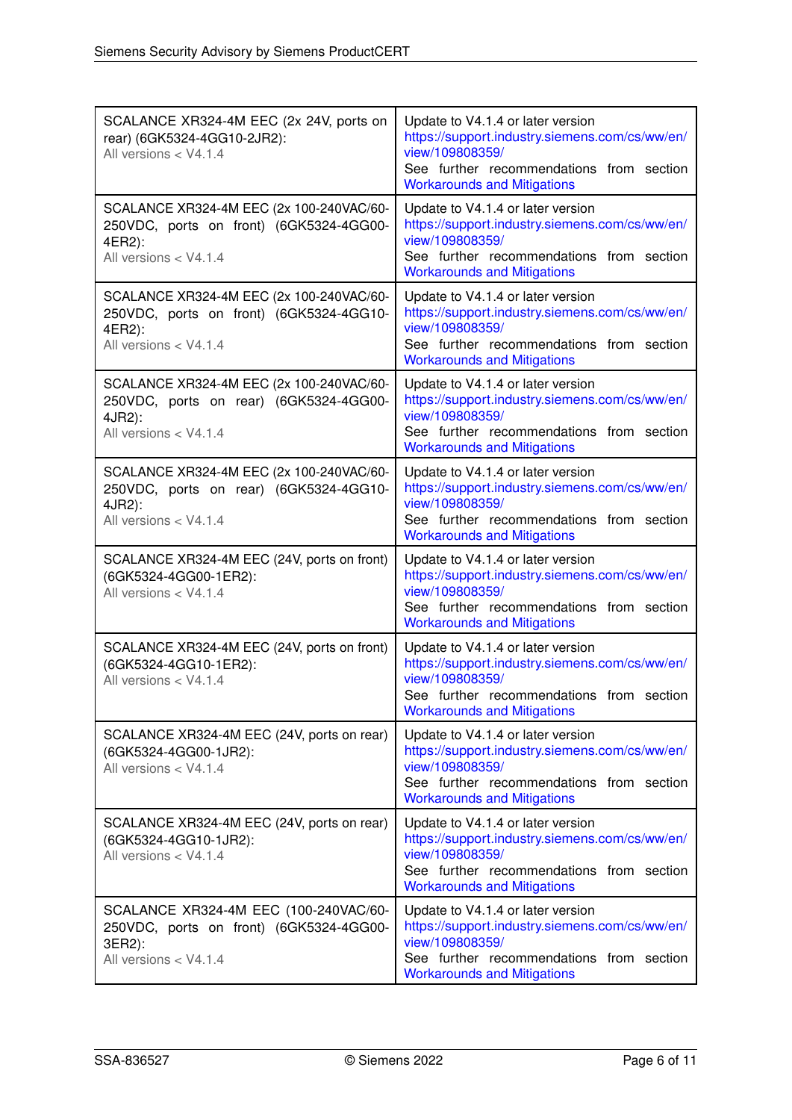| SCALANCE XR324-4M EEC (2x 24V, ports on<br>rear) (6GK5324-4GG10-2JR2):<br>All versions < V4.1.4                        | Update to V4.1.4 or later version<br>https://support.industry.siemens.com/cs/ww/en/<br>view/109808359/<br>See further recommendations from section<br><b>Workarounds and Mitigations</b> |
|------------------------------------------------------------------------------------------------------------------------|------------------------------------------------------------------------------------------------------------------------------------------------------------------------------------------|
| SCALANCE XR324-4M EEC (2x 100-240VAC/60-<br>250VDC, ports on front) (6GK5324-4GG00-<br>4ER2):<br>All versions < V4.1.4 | Update to V4.1.4 or later version<br>https://support.industry.siemens.com/cs/ww/en/<br>view/109808359/<br>See further recommendations from section<br><b>Workarounds and Mitigations</b> |
| SCALANCE XR324-4M EEC (2x 100-240VAC/60-<br>250VDC, ports on front) (6GK5324-4GG10-<br>4ER2):<br>All versions < V4.1.4 | Update to V4.1.4 or later version<br>https://support.industry.siemens.com/cs/ww/en/<br>view/109808359/<br>See further recommendations from section<br><b>Workarounds and Mitigations</b> |
| SCALANCE XR324-4M EEC (2x 100-240VAC/60-<br>250VDC, ports on rear) (6GK5324-4GG00-<br>4JR2):<br>All versions < V4.1.4  | Update to V4.1.4 or later version<br>https://support.industry.siemens.com/cs/ww/en/<br>view/109808359/<br>See further recommendations from section<br><b>Workarounds and Mitigations</b> |
| SCALANCE XR324-4M EEC (2x 100-240VAC/60-<br>250VDC, ports on rear) (6GK5324-4GG10-<br>4JR2):<br>All versions < V4.1.4  | Update to V4.1.4 or later version<br>https://support.industry.siemens.com/cs/ww/en/<br>view/109808359/<br>See further recommendations from section<br><b>Workarounds and Mitigations</b> |
| SCALANCE XR324-4M EEC (24V, ports on front)<br>(6GK5324-4GG00-1ER2):<br>All versions < V4.1.4                          | Update to V4.1.4 or later version<br>https://support.industry.siemens.com/cs/ww/en/<br>view/109808359/<br>See further recommendations from section<br><b>Workarounds and Mitigations</b> |
| SCALANCE XR324-4M EEC (24V, ports on front)<br>(6GK5324-4GG10-1ER2):<br>All versions < V4.1.4                          | Update to V4.1.4 or later version<br>https://support.industry.siemens.com/cs/ww/en/<br>view/109808359/<br>See further recommendations from section<br><b>Workarounds and Mitigations</b> |
| SCALANCE XR324-4M EEC (24V, ports on rear)<br>(6GK5324-4GG00-1JR2):<br>All versions < V4.1.4                           | Update to V4.1.4 or later version<br>https://support.industry.siemens.com/cs/ww/en/<br>view/109808359/<br>See further recommendations from section<br><b>Workarounds and Mitigations</b> |
| SCALANCE XR324-4M EEC (24V, ports on rear)<br>(6GK5324-4GG10-1JR2):<br>All versions < V4.1.4                           | Update to V4.1.4 or later version<br>https://support.industry.siemens.com/cs/ww/en/<br>view/109808359/<br>See further recommendations from section<br><b>Workarounds and Mitigations</b> |
| SCALANCE XR324-4M EEC (100-240VAC/60-<br>250VDC, ports on front) (6GK5324-4GG00-<br>3ER2):<br>All versions < V4.1.4    | Update to V4.1.4 or later version<br>https://support.industry.siemens.com/cs/ww/en/<br>view/109808359/<br>See further recommendations from section<br><b>Workarounds and Mitigations</b> |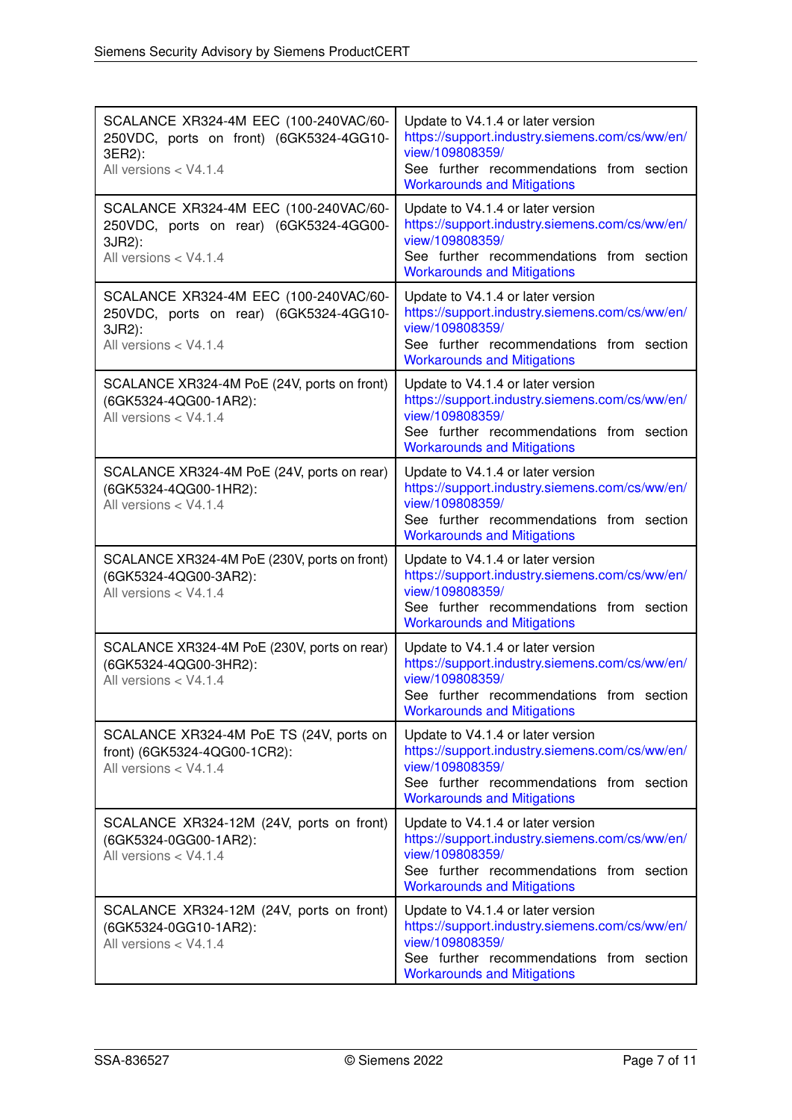| SCALANCE XR324-4M EEC (100-240VAC/60-<br>250VDC, ports on front) (6GK5324-4GG10-<br>3ER2):<br>All versions < V4.1.4 | Update to V4.1.4 or later version<br>https://support.industry.siemens.com/cs/ww/en/<br>view/109808359/<br>See further recommendations from section<br><b>Workarounds and Mitigations</b> |
|---------------------------------------------------------------------------------------------------------------------|------------------------------------------------------------------------------------------------------------------------------------------------------------------------------------------|
| SCALANCE XR324-4M EEC (100-240VAC/60-<br>250VDC, ports on rear) (6GK5324-4GG00-<br>3JR2):<br>All versions < V4.1.4  | Update to V4.1.4 or later version<br>https://support.industry.siemens.com/cs/ww/en/<br>view/109808359/<br>See further recommendations from section<br><b>Workarounds and Mitigations</b> |
| SCALANCE XR324-4M EEC (100-240VAC/60-<br>250VDC, ports on rear) (6GK5324-4GG10-<br>3JR2):<br>All versions < V4.1.4  | Update to V4.1.4 or later version<br>https://support.industry.siemens.com/cs/ww/en/<br>view/109808359/<br>See further recommendations from section<br><b>Workarounds and Mitigations</b> |
| SCALANCE XR324-4M PoE (24V, ports on front)<br>(6GK5324-4QG00-1AR2):<br>All versions < V4.1.4                       | Update to V4.1.4 or later version<br>https://support.industry.siemens.com/cs/ww/en/<br>view/109808359/<br>See further recommendations from section<br><b>Workarounds and Mitigations</b> |
| SCALANCE XR324-4M PoE (24V, ports on rear)<br>(6GK5324-4QG00-1HR2):<br>All versions < V4.1.4                        | Update to V4.1.4 or later version<br>https://support.industry.siemens.com/cs/ww/en/<br>view/109808359/<br>See further recommendations from section<br><b>Workarounds and Mitigations</b> |
| SCALANCE XR324-4M PoE (230V, ports on front)<br>(6GK5324-4QG00-3AR2):<br>All versions < V4.1.4                      | Update to V4.1.4 or later version<br>https://support.industry.siemens.com/cs/ww/en/<br>view/109808359/<br>See further recommendations from section<br><b>Workarounds and Mitigations</b> |
| SCALANCE XR324-4M PoE (230V, ports on rear)<br>(6GK5324-4QG00-3HR2):<br>All versions < V4.1.4                       | Update to V4.1.4 or later version<br>https://support.industry.siemens.com/cs/ww/en/<br>view/109808359/<br>See further recommendations from section<br><b>Workarounds and Mitigations</b> |
| SCALANCE XR324-4M PoE TS (24V, ports on<br>front) (6GK5324-4QG00-1CR2):<br>All versions < V4.1.4                    | Update to V4.1.4 or later version<br>https://support.industry.siemens.com/cs/ww/en/<br>view/109808359/<br>See further recommendations from section<br><b>Workarounds and Mitigations</b> |
| SCALANCE XR324-12M (24V, ports on front)<br>(6GK5324-0GG00-1AR2):<br>All versions < V4.1.4                          | Update to V4.1.4 or later version<br>https://support.industry.siemens.com/cs/ww/en/<br>view/109808359/<br>See further recommendations from section<br><b>Workarounds and Mitigations</b> |
| SCALANCE XR324-12M (24V, ports on front)<br>(6GK5324-0GG10-1AR2):<br>All versions < V4.1.4                          | Update to V4.1.4 or later version<br>https://support.industry.siemens.com/cs/ww/en/<br>view/109808359/<br>See further recommendations from section<br><b>Workarounds and Mitigations</b> |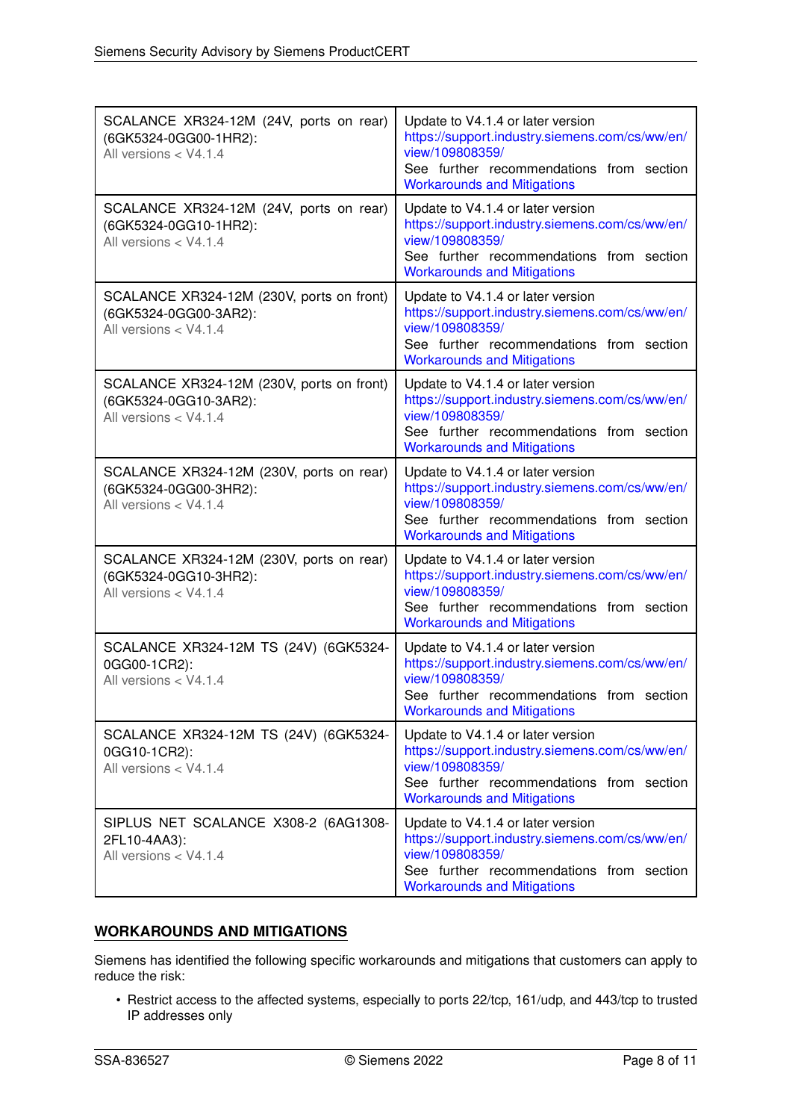| SCALANCE XR324-12M (24V, ports on rear)<br>(6GK5324-0GG00-1HR2):<br>All versions < V4.1.4   | Update to V4.1.4 or later version<br>https://support.industry.siemens.com/cs/ww/en/<br>view/109808359/<br>See further recommendations from section<br><b>Workarounds and Mitigations</b> |
|---------------------------------------------------------------------------------------------|------------------------------------------------------------------------------------------------------------------------------------------------------------------------------------------|
| SCALANCE XR324-12M (24V, ports on rear)<br>(6GK5324-0GG10-1HR2):<br>All versions < V4.1.4   | Update to V4.1.4 or later version<br>https://support.industry.siemens.com/cs/ww/en/<br>view/109808359/<br>See further recommendations from section<br><b>Workarounds and Mitigations</b> |
| SCALANCE XR324-12M (230V, ports on front)<br>(6GK5324-0GG00-3AR2):<br>All versions < V4.1.4 | Update to V4.1.4 or later version<br>https://support.industry.siemens.com/cs/ww/en/<br>view/109808359/<br>See further recommendations from section<br><b>Workarounds and Mitigations</b> |
| SCALANCE XR324-12M (230V, ports on front)<br>(6GK5324-0GG10-3AR2):<br>All versions < V4.1.4 | Update to V4.1.4 or later version<br>https://support.industry.siemens.com/cs/ww/en/<br>view/109808359/<br>See further recommendations from section<br><b>Workarounds and Mitigations</b> |
| SCALANCE XR324-12M (230V, ports on rear)<br>(6GK5324-0GG00-3HR2):<br>All versions < V4.1.4  | Update to V4.1.4 or later version<br>https://support.industry.siemens.com/cs/ww/en/<br>view/109808359/<br>See further recommendations from section<br><b>Workarounds and Mitigations</b> |
| SCALANCE XR324-12M (230V, ports on rear)<br>(6GK5324-0GG10-3HR2):<br>All versions < V4.1.4  | Update to V4.1.4 or later version<br>https://support.industry.siemens.com/cs/ww/en/<br>view/109808359/<br>See further recommendations from section<br><b>Workarounds and Mitigations</b> |
| SCALANCE XR324-12M TS (24V) (6GK5324-<br>0GG00-1CR2):<br>All versions < V4.1.4              | Update to V4.1.4 or later version<br>https://support.industry.siemens.com/cs/ww/en/<br>view/109808359/<br>See further recommendations from section<br><b>Workarounds and Mitigations</b> |
| SCALANCE XR324-12M TS (24V) (6GK5324-<br>0GG10-1CR2):<br>All versions < V4.1.4              | Update to V4.1.4 or later version<br>https://support.industry.siemens.com/cs/ww/en/<br>view/109808359/<br>See further recommendations from section<br><b>Workarounds and Mitigations</b> |
| SIPLUS NET SCALANCE X308-2 (6AG1308-<br>2FL10-4AA3):<br>All versions < V4.1.4               | Update to V4.1.4 or later version<br>https://support.industry.siemens.com/cs/ww/en/<br>view/109808359/<br>See further recommendations from section<br><b>Workarounds and Mitigations</b> |

# <span id="page-7-0"></span>**WORKAROUNDS AND MITIGATIONS**

Siemens has identified the following specific workarounds and mitigations that customers can apply to reduce the risk:

• Restrict access to the affected systems, especially to ports 22/tcp, 161/udp, and 443/tcp to trusted IP addresses only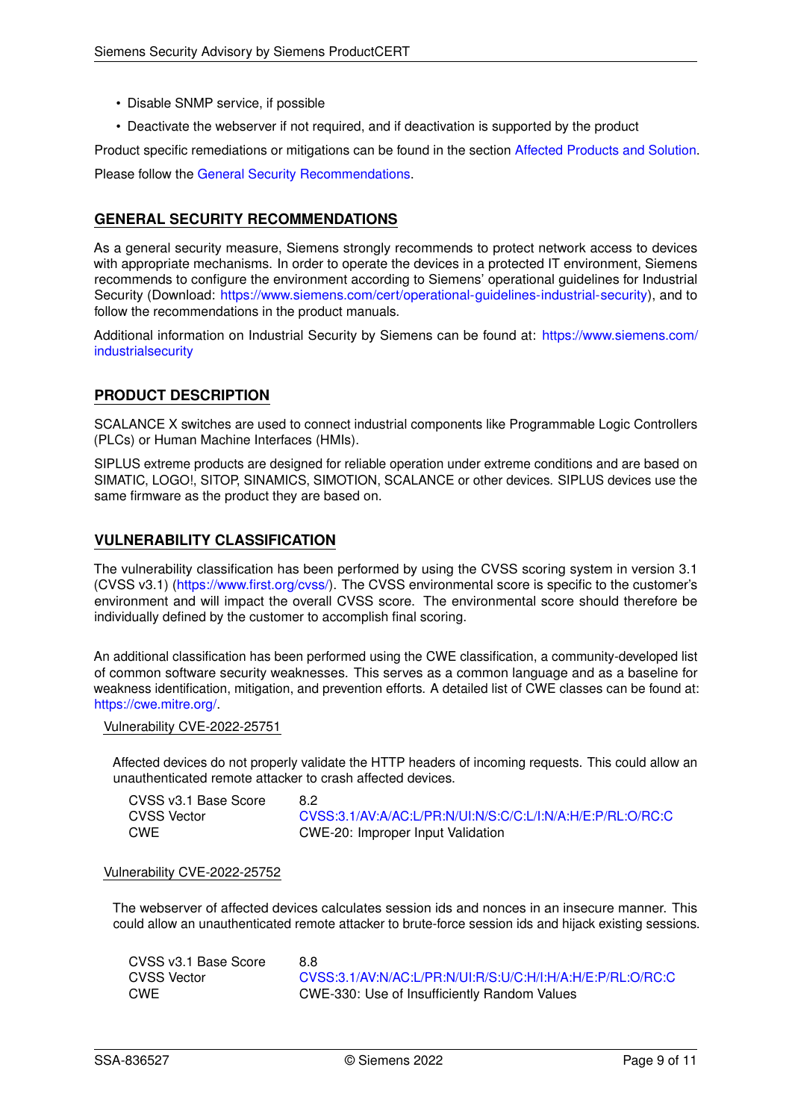- Disable SNMP service, if possible
- Deactivate the webserver if not required, and if deactivation is supported by the product

Product specific remediations or mitigations can be found in the section [Affected Products and Solution.](#page-0-0) Please follow the [General Security Recommendations.](#page-8-0)

# <span id="page-8-0"></span>**GENERAL SECURITY RECOMMENDATIONS**

As a general security measure, Siemens strongly recommends to protect network access to devices with appropriate mechanisms. In order to operate the devices in a protected IT environment, Siemens recommends to configure the environment according to Siemens' operational guidelines for Industrial Security (Download: [https://www.siemens.com/cert/operational-guidelines-industrial-security\)](https://www.siemens.com/cert/operational-guidelines-industrial-security), and to follow the recommendations in the product manuals.

Additional information on Industrial Security by Siemens can be found at: [https://www.siemens.com/](https://www.siemens.com/industrialsecurity) [industrialsecurity](https://www.siemens.com/industrialsecurity)

# **PRODUCT DESCRIPTION**

SCALANCE X switches are used to connect industrial components like Programmable Logic Controllers (PLCs) or Human Machine Interfaces (HMIs).

SIPLUS extreme products are designed for reliable operation under extreme conditions and are based on SIMATIC, LOGO!, SITOP, SINAMICS, SIMOTION, SCALANCE or other devices. SIPLUS devices use the same firmware as the product they are based on.

# **VULNERABILITY CLASSIFICATION**

The vulnerability classification has been performed by using the CVSS scoring system in version 3.1 (CVSS v3.1) [\(https://www.first.org/cvss/\)](https://www.first.org/cvss/). The CVSS environmental score is specific to the customer's environment and will impact the overall CVSS score. The environmental score should therefore be individually defined by the customer to accomplish final scoring.

An additional classification has been performed using the CWE classification, a community-developed list of common software security weaknesses. This serves as a common language and as a baseline for weakness identification, mitigation, and prevention efforts. A detailed list of CWE classes can be found at: [https://cwe.mitre.org/.](https://cwe.mitre.org/)

Vulnerability CVE-2022-25751

Affected devices do not properly validate the HTTP headers of incoming requests. This could allow an unauthenticated remote attacker to crash affected devices.

CVSS v3.1 Base Score 8.2

CVSS Vector [CVSS:3.1/AV:A/AC:L/PR:N/UI:N/S:C/C:L/I:N/A:H/E:P/RL:O/RC:C](https://www.first.org/cvss/calculator/3.1#CVSS:3.1/AV:A/AC:L/PR:N/UI:N/S:C/C:L/I:N/A:H/E:P/RL:O/RC:C) CWE CWE-20: Improper Input Validation

### Vulnerability CVE-2022-25752

The webserver of affected devices calculates session ids and nonces in an insecure manner. This could allow an unauthenticated remote attacker to brute-force session ids and hijack existing sessions.

CVSS v3.1 Base Score 8.8 CVSS Vector [CVSS:3.1/AV:N/AC:L/PR:N/UI:R/S:U/C:H/I:H/A:H/E:P/RL:O/RC:C](https://www.first.org/cvss/calculator/3.1#CVSS:3.1/AV:N/AC:L/PR:N/UI:R/S:U/C:H/I:H/A:H/E:P/RL:O/RC:C) CWE CWE-330: Use of Insufficiently Random Values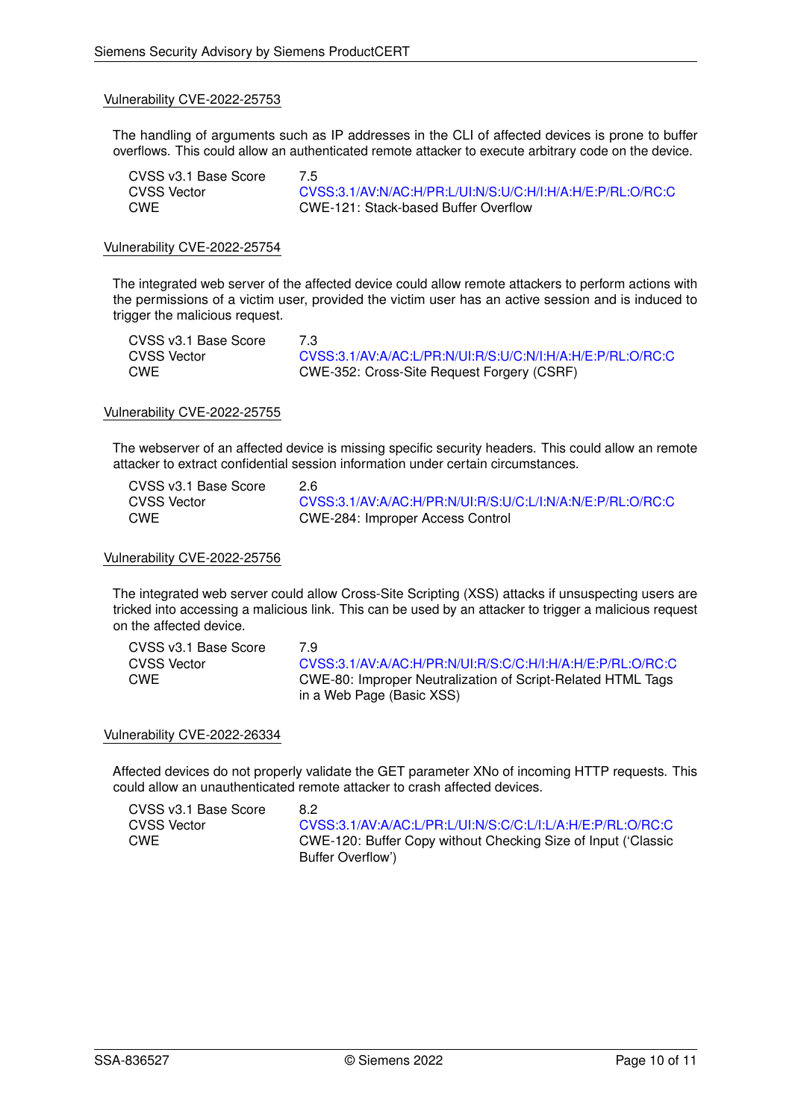#### Vulnerability CVE-2022-25753

The handling of arguments such as IP addresses in the CLI of affected devices is prone to buffer overflows. This could allow an authenticated remote attacker to execute arbitrary code on the device.

| CVSS v3.1 Base Score | 7.5                                                        |
|----------------------|------------------------------------------------------------|
| CVSS Vector          | CVSS:3.1/AV:N/AC:H/PR:L/UI:N/S:U/C:H/I:H/A:H/E:P/RL:O/RC:C |
| CWE                  | CWE-121: Stack-based Buffer Overflow                       |

### Vulnerability CVE-2022-25754

The integrated web server of the affected device could allow remote attackers to perform actions with the permissions of a victim user, provided the victim user has an active session and is induced to trigger the malicious request.

| CVSS v3.1 Base Score |                                                            |
|----------------------|------------------------------------------------------------|
| CVSS Vector          | CVSS:3.1/AV:A/AC:L/PR:N/UI:R/S:U/C:N/I:H/A:H/E:P/RL:O/RC:C |
| CWE                  | CWE-352: Cross-Site Request Forgery (CSRF)                 |

#### Vulnerability CVE-2022-25755

The webserver of an affected device is missing specific security headers. This could allow an remote attacker to extract confidential session information under certain circumstances.

| CVSS v3.1 Base Score | 2.6                                                        |
|----------------------|------------------------------------------------------------|
| CVSS Vector          | CVSS:3.1/AV:A/AC:H/PR:N/UI:R/S:U/C:L/I:N/A:N/E:P/RL:O/RC:C |
| CWE                  | CWE-284: Improper Access Control                           |

#### Vulnerability CVE-2022-25756

The integrated web server could allow Cross-Site Scripting (XSS) attacks if unsuspecting users are tricked into accessing a malicious link. This can be used by an attacker to trigger a malicious request on the affected device.

| CVSS v3.1 Base Score | 79                                                          |
|----------------------|-------------------------------------------------------------|
| <b>CVSS Vector</b>   | CVSS:3.1/AV:A/AC:H/PR:N/UI:R/S:C/C:H/I:H/A:H/E:P/RL:O/RC:C  |
| CWE                  | CWE-80: Improper Neutralization of Script-Related HTML Tags |
|                      | in a Web Page (Basic XSS)                                   |

#### Vulnerability CVE-2022-26334

Affected devices do not properly validate the GET parameter XNo of incoming HTTP requests. This could allow an unauthenticated remote attacker to crash affected devices.

| CVSS v3.1 Base Score | 82                                                            |
|----------------------|---------------------------------------------------------------|
| CVSS Vector          | CVSS:3.1/AV:A/AC:L/PR:L/UI:N/S:C/C:L/I:L/A:H/E:P/RL:O/RC:C    |
| CWE                  | CWE-120: Buffer Copy without Checking Size of Input ('Classic |
|                      | Buffer Overflow')                                             |